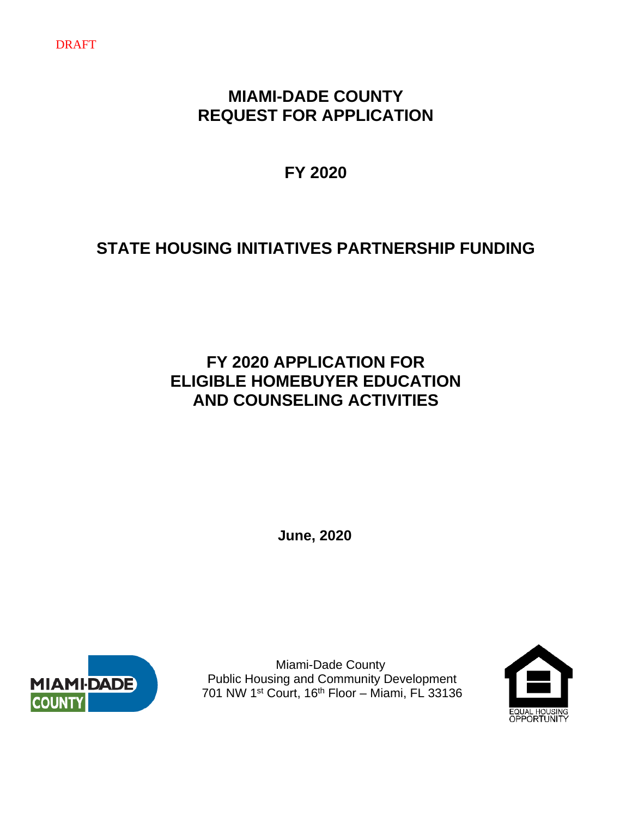#### DRAFT

# **MIAMI-DADE COUNTY REQUEST FOR APPLICATION**

**FY 2020** 

# **STATE HOUSING INITIATIVES PARTNERSHIP FUNDING**

# **FY 2020 APPLICATION FOR ELIGIBLE HOMEBUYER EDUCATION AND COUNSELING ACTIVITIES**

**June, 2020**



 Miami-Dade County Public Housing and Community Development 701 NW 1st Court, 16th Floor – Miami, FL 33136

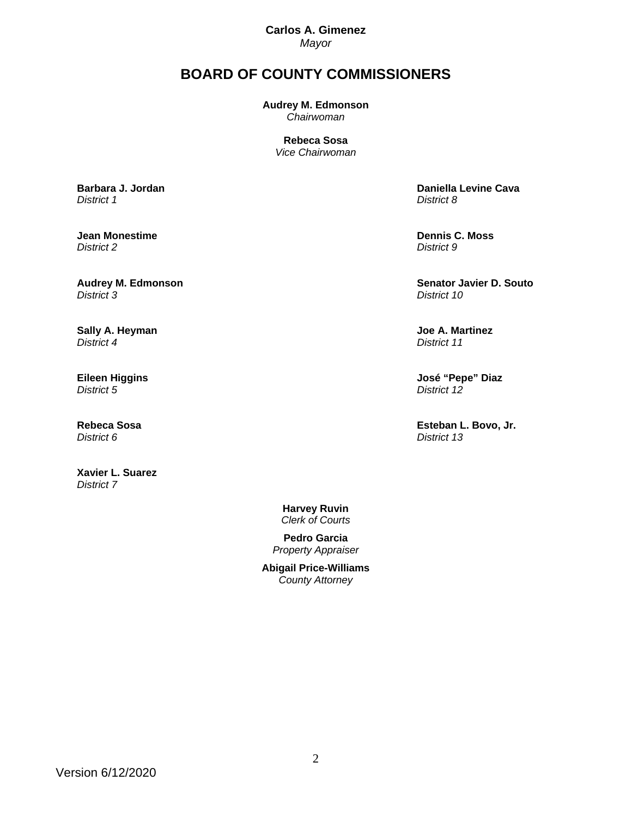**Carlos A. Gimenez**  *Mayor* 

# **BOARD OF COUNTY COMMISSIONERS**

**Audrey M. Edmonson** *Chairwoman* 

> **Rebeca Sosa** *Vice Chairwoman*

**Barbara J. Jordan** 

*District 1*

**Jean Monestime**  *District 2*

**Audrey M. Edmonson**  *District 3*

**Sally A. Heyman**  *District 4*

**Eileen Higgins**  *District 5*

**Rebeca Sosa**  *District 6*

**Xavier L. Suarez**  *District 7* 

 **Daniella Levine Cava**  *District 8*

 **Dennis C. Moss**  *District 9*

 **Senator Javier D. Souto**  *District 10*

 **Joe A. Martinez**  *District 11*

 **José "Pepe" Diaz**  *District 12*

 **Esteban L. Bovo, Jr.**  *District 13*

**Harvey Ruvin**  *Clerk of Courts* 

**Pedro Garcia**  *Property Appraiser*

**Abigail Price-Williams**  *County Attorney*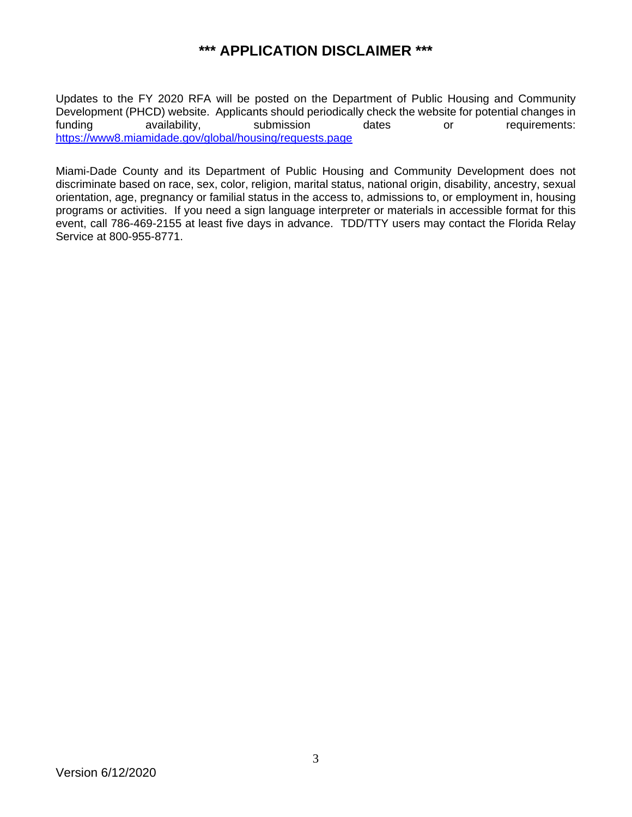# **\*\*\* APPLICATION DISCLAIMER \*\*\***

Updates to the FY 2020 RFA will be posted on the Department of Public Housing and Community Development (PHCD) website. Applicants should periodically check the website for potential changes in<br>funding availability, submission dates or requirements: funding availability, submission dates or requirements: https://www8.miamidade.gov/global/housing/requests.page

Miami-Dade County and its Department of Public Housing and Community Development does not discriminate based on race, sex, color, religion, marital status, national origin, disability, ancestry, sexual orientation, age, pregnancy or familial status in the access to, admissions to, or employment in, housing programs or activities. If you need a sign language interpreter or materials in accessible format for this event, call 786-469-2155 at least five days in advance. TDD/TTY users may contact the Florida Relay Service at 800-955-8771.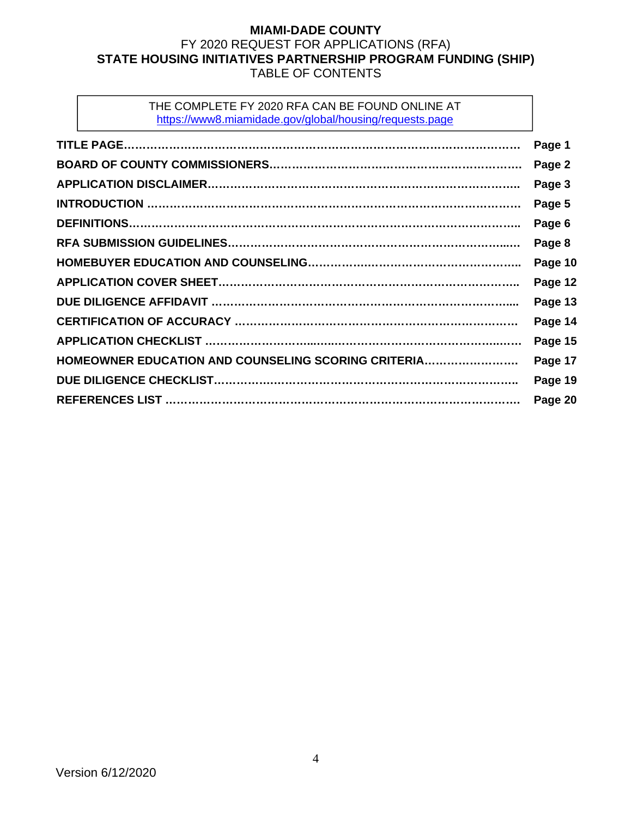# **MIAMI-DADE COUNTY**  FY 2020 REQUEST FOR APPLICATIONS (RFA) **STATE HOUSING INITIATIVES PARTNERSHIP PROGRAM FUNDING (SHIP)**  TABLE OF CONTENTS

## THE COMPLETE FY 2020 RFA CAN BE FOUND ONLINE AT https://www8.miamidade.gov/global/housing/requests.page

|                                                     | Page 1  |
|-----------------------------------------------------|---------|
|                                                     | Page 2  |
|                                                     | Page 3  |
|                                                     | Page 5  |
|                                                     | Page 6  |
|                                                     | Page 8  |
|                                                     | Page 10 |
|                                                     | Page 12 |
|                                                     | Page 13 |
|                                                     | Page 14 |
|                                                     | Page 15 |
| HOMEOWNER EDUCATION AND COUNSELING SCORING CRITERIA | Page 17 |
|                                                     | Page 19 |
|                                                     | Page 20 |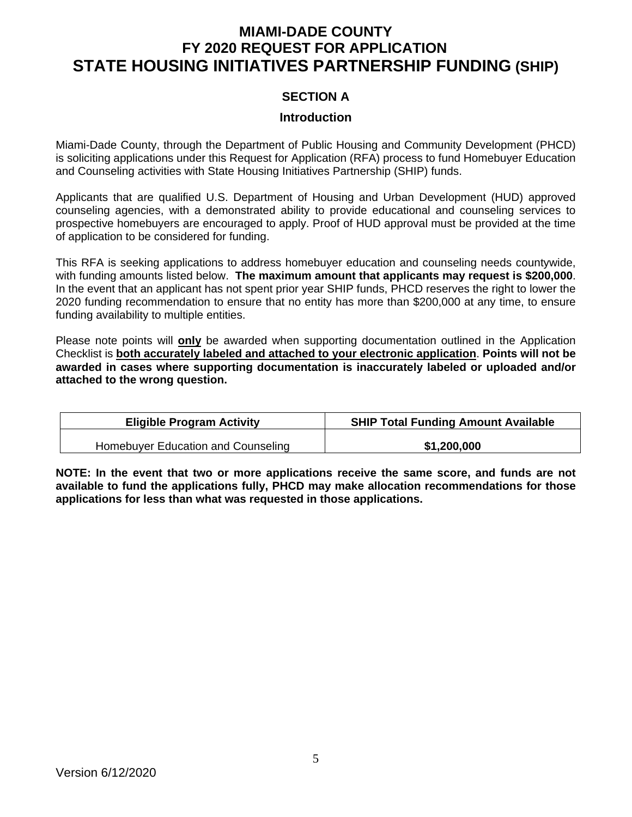# **MIAMI-DADE COUNTY FY 2020 REQUEST FOR APPLICATION STATE HOUSING INITIATIVES PARTNERSHIP FUNDING (SHIP)**

# **SECTION A**

#### **Introduction**

Miami-Dade County, through the Department of Public Housing and Community Development (PHCD) is soliciting applications under this Request for Application (RFA) process to fund Homebuyer Education and Counseling activities with State Housing Initiatives Partnership (SHIP) funds.

Applicants that are qualified U.S. Department of Housing and Urban Development (HUD) approved counseling agencies, with a demonstrated ability to provide educational and counseling services to prospective homebuyers are encouraged to apply. Proof of HUD approval must be provided at the time of application to be considered for funding.

This RFA is seeking applications to address homebuyer education and counseling needs countywide, with funding amounts listed below. **The maximum amount that applicants may request is \$200,000**. In the event that an applicant has not spent prior year SHIP funds, PHCD reserves the right to lower the 2020 funding recommendation to ensure that no entity has more than \$200,000 at any time, to ensure funding availability to multiple entities.

Please note points will **only** be awarded when supporting documentation outlined in the Application Checklist is **both accurately labeled and attached to your electronic application**. **Points will not be awarded in cases where supporting documentation is inaccurately labeled or uploaded and/or attached to the wrong question.** 

| <b>Eligible Program Activity</b>   | <b>SHIP Total Funding Amount Available</b> |
|------------------------------------|--------------------------------------------|
| Homebuyer Education and Counseling | \$1,200,000                                |

**NOTE: In the event that two or more applications receive the same score, and funds are not available to fund the applications fully, PHCD may make allocation recommendations for those applications for less than what was requested in those applications.**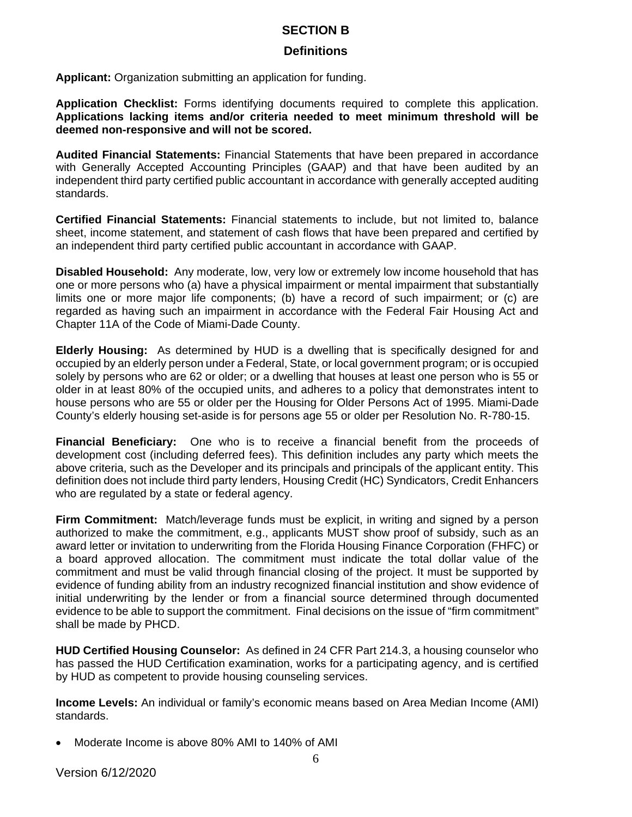# **SECTION B**

### **Definitions**

**Applicant:** Organization submitting an application for funding.

**Application Checklist:** Forms identifying documents required to complete this application. **Applications lacking items and/or criteria needed to meet minimum threshold will be deemed non-responsive and will not be scored.** 

**Audited Financial Statements:** Financial Statements that have been prepared in accordance with Generally Accepted Accounting Principles (GAAP) and that have been audited by an independent third party certified public accountant in accordance with generally accepted auditing standards.

**Certified Financial Statements:** Financial statements to include, but not limited to, balance sheet, income statement, and statement of cash flows that have been prepared and certified by an independent third party certified public accountant in accordance with GAAP.

**Disabled Household:** Any moderate, low, very low or extremely low income household that has one or more persons who (a) have a physical impairment or mental impairment that substantially limits one or more major life components; (b) have a record of such impairment; or (c) are regarded as having such an impairment in accordance with the Federal Fair Housing Act and Chapter 11A of the Code of Miami-Dade County.

**Elderly Housing:** As determined by HUD is a dwelling that is specifically designed for and occupied by an elderly person under a Federal, State, or local government program; or is occupied solely by persons who are 62 or older; or a dwelling that houses at least one person who is 55 or older in at least 80% of the occupied units, and adheres to a policy that demonstrates intent to house persons who are 55 or older per the Housing for Older Persons Act of 1995. Miami-Dade County's elderly housing set-aside is for persons age 55 or older per Resolution No. R-780-15.

**Financial Beneficiary:** One who is to receive a financial benefit from the proceeds of development cost (including deferred fees). This definition includes any party which meets the above criteria, such as the Developer and its principals and principals of the applicant entity. This definition does not include third party lenders, Housing Credit (HC) Syndicators, Credit Enhancers who are regulated by a state or federal agency.

**Firm Commitment:** Match/leverage funds must be explicit, in writing and signed by a person authorized to make the commitment, e.g., applicants MUST show proof of subsidy, such as an award letter or invitation to underwriting from the Florida Housing Finance Corporation (FHFC) or a board approved allocation. The commitment must indicate the total dollar value of the commitment and must be valid through financial closing of the project. It must be supported by evidence of funding ability from an industry recognized financial institution and show evidence of initial underwriting by the lender or from a financial source determined through documented evidence to be able to support the commitment. Final decisions on the issue of "firm commitment" shall be made by PHCD.

**HUD Certified Housing Counselor:** As defined in 24 CFR Part 214.3, a housing counselor who has passed the HUD Certification examination, works for a participating agency, and is certified by HUD as competent to provide housing counseling services.

**Income Levels:** An individual or family's economic means based on Area Median Income (AMI) standards.

Moderate Income is above 80% AMI to 140% of AMI

Version 6/12/2020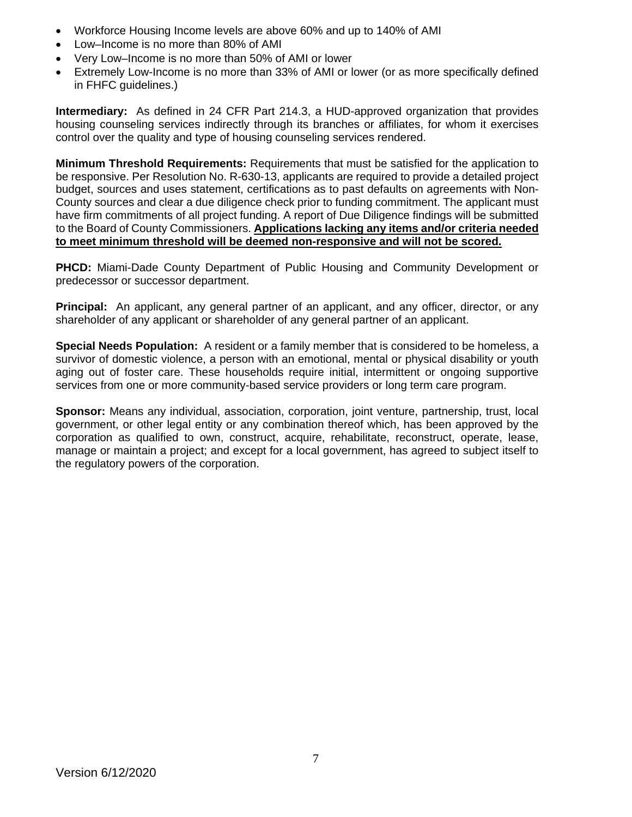- Workforce Housing Income levels are above 60% and up to 140% of AMI
- Low–Income is no more than 80% of AMI
- Very Low–Income is no more than 50% of AMI or lower
- Extremely Low-Income is no more than 33% of AMI or lower (or as more specifically defined in FHFC guidelines.)

**Intermediary:** As defined in 24 CFR Part 214.3, a HUD-approved organization that provides housing counseling services indirectly through its branches or affiliates, for whom it exercises control over the quality and type of housing counseling services rendered.

**Minimum Threshold Requirements:** Requirements that must be satisfied for the application to be responsive. Per Resolution No. R-630-13, applicants are required to provide a detailed project budget, sources and uses statement, certifications as to past defaults on agreements with Non-County sources and clear a due diligence check prior to funding commitment. The applicant must have firm commitments of all project funding. A report of Due Diligence findings will be submitted to the Board of County Commissioners. **Applications lacking any items and/or criteria needed to meet minimum threshold will be deemed non-responsive and will not be scored.** 

**PHCD:** Miami-Dade County Department of Public Housing and Community Development or predecessor or successor department.

**Principal:** An applicant, any general partner of an applicant, and any officer, director, or any shareholder of any applicant or shareholder of any general partner of an applicant.

**Special Needs Population:** A resident or a family member that is considered to be homeless, a survivor of domestic violence, a person with an emotional, mental or physical disability or youth aging out of foster care. These households require initial, intermittent or ongoing supportive services from one or more community-based service providers or long term care program.

**Sponsor:** Means any individual, association, corporation, joint venture, partnership, trust, local government, or other legal entity or any combination thereof which, has been approved by the corporation as qualified to own, construct, acquire, rehabilitate, reconstruct, operate, lease, manage or maintain a project; and except for a local government, has agreed to subject itself to the regulatory powers of the corporation.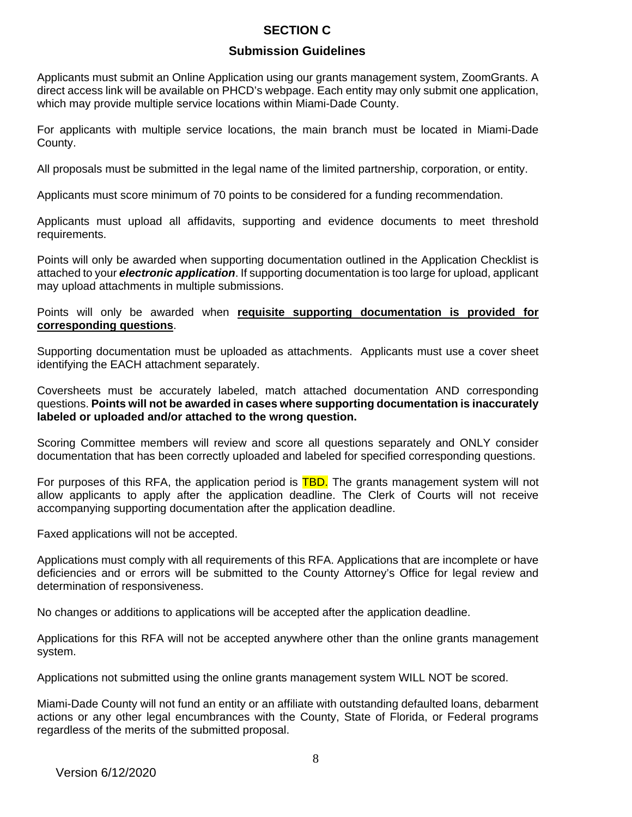# **SECTION C**

# **Submission Guidelines**

Applicants must submit an Online Application using our grants management system, ZoomGrants. A direct access link will be available on PHCD's webpage. Each entity may only submit one application, which may provide multiple service locations within Miami-Dade County.

For applicants with multiple service locations, the main branch must be located in Miami-Dade County.

All proposals must be submitted in the legal name of the limited partnership, corporation, or entity.

Applicants must score minimum of 70 points to be considered for a funding recommendation.

Applicants must upload all affidavits, supporting and evidence documents to meet threshold requirements.

Points will only be awarded when supporting documentation outlined in the Application Checklist is attached to your *electronic application*. If supporting documentation is too large for upload, applicant may upload attachments in multiple submissions.

#### Points will only be awarded when **requisite supporting documentation is provided for corresponding questions**.

Supporting documentation must be uploaded as attachments. Applicants must use a cover sheet identifying the EACH attachment separately.

Coversheets must be accurately labeled, match attached documentation AND corresponding questions. **Points will not be awarded in cases where supporting documentation is inaccurately labeled or uploaded and/or attached to the wrong question.**

Scoring Committee members will review and score all questions separately and ONLY consider documentation that has been correctly uploaded and labeled for specified corresponding questions.

For purposes of this RFA, the application period is **TBD.** The grants management system will not allow applicants to apply after the application deadline. The Clerk of Courts will not receive accompanying supporting documentation after the application deadline.

Faxed applications will not be accepted.

Applications must comply with all requirements of this RFA. Applications that are incomplete or have deficiencies and or errors will be submitted to the County Attorney's Office for legal review and determination of responsiveness.

No changes or additions to applications will be accepted after the application deadline.

Applications for this RFA will not be accepted anywhere other than the online grants management system.

Applications not submitted using the online grants management system WILL NOT be scored.

Miami-Dade County will not fund an entity or an affiliate with outstanding defaulted loans, debarment actions or any other legal encumbrances with the County, State of Florida, or Federal programs regardless of the merits of the submitted proposal.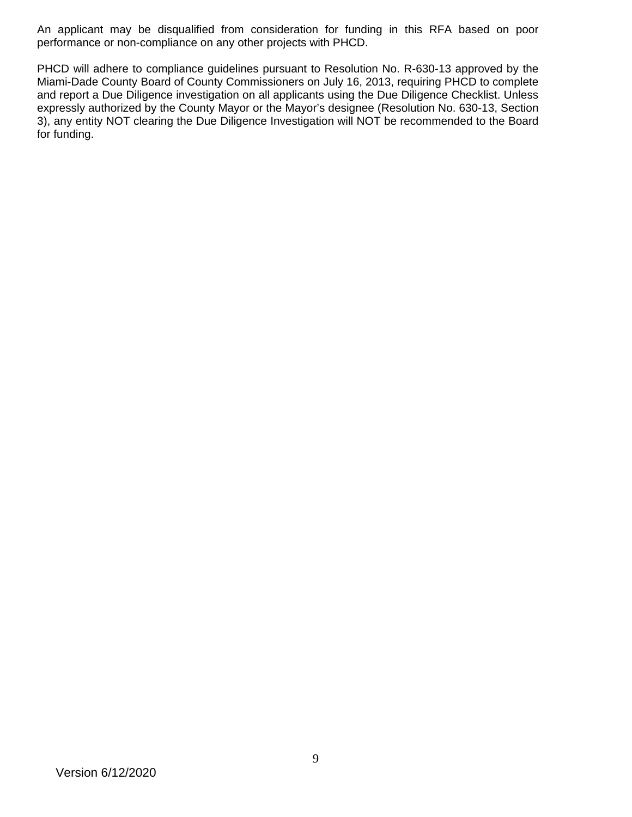An applicant may be disqualified from consideration for funding in this RFA based on poor performance or non-compliance on any other projects with PHCD.

PHCD will adhere to compliance guidelines pursuant to Resolution No. R-630-13 approved by the Miami-Dade County Board of County Commissioners on July 16, 2013, requiring PHCD to complete and report a Due Diligence investigation on all applicants using the Due Diligence Checklist. Unless expressly authorized by the County Mayor or the Mayor's designee (Resolution No. 630-13, Section 3), any entity NOT clearing the Due Diligence Investigation will NOT be recommended to the Board for funding.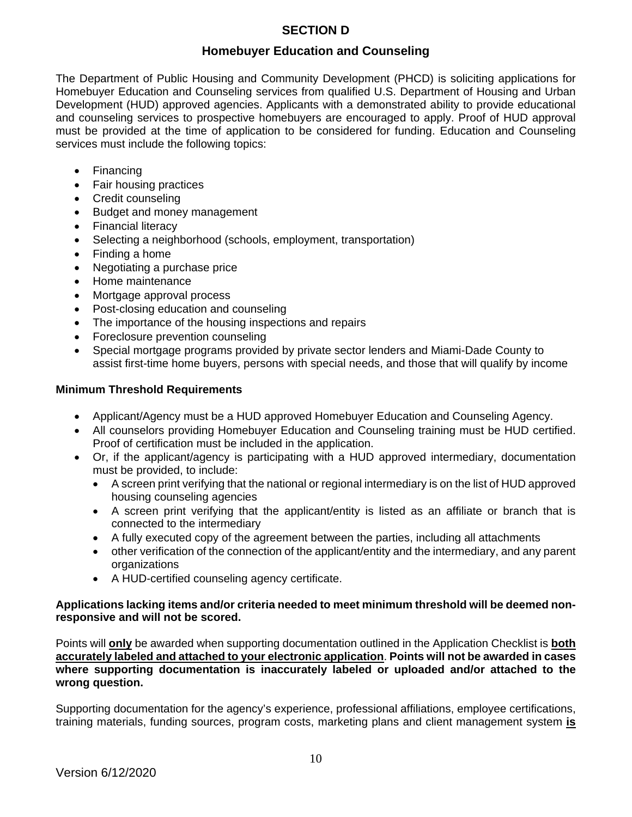# **SECTION D**

# **Homebuyer Education and Counseling**

The Department of Public Housing and Community Development (PHCD) is soliciting applications for Homebuyer Education and Counseling services from qualified U.S. Department of Housing and Urban Development (HUD) approved agencies. Applicants with a demonstrated ability to provide educational and counseling services to prospective homebuyers are encouraged to apply. Proof of HUD approval must be provided at the time of application to be considered for funding. Education and Counseling services must include the following topics:

- Financing
- Fair housing practices
- Credit counseling
- Budget and money management
- Financial literacy
- Selecting a neighborhood (schools, employment, transportation)
- Finding a home
- Negotiating a purchase price
- Home maintenance
- Mortgage approval process
- Post-closing education and counseling
- The importance of the housing inspections and repairs
- Foreclosure prevention counseling
- Special mortgage programs provided by private sector lenders and Miami-Dade County to assist first-time home buyers, persons with special needs, and those that will qualify by income

# **Minimum Threshold Requirements**

- Applicant/Agency must be a HUD approved Homebuyer Education and Counseling Agency.
- All counselors providing Homebuyer Education and Counseling training must be HUD certified. Proof of certification must be included in the application.
- Or, if the applicant/agency is participating with a HUD approved intermediary, documentation must be provided, to include:
	- A screen print verifying that the national or regional intermediary is on the list of HUD approved housing counseling agencies
	- A screen print verifying that the applicant/entity is listed as an affiliate or branch that is connected to the intermediary
	- A fully executed copy of the agreement between the parties, including all attachments
	- other verification of the connection of the applicant/entity and the intermediary, and any parent organizations
	- A HUD-certified counseling agency certificate.

#### **Applications lacking items and/or criteria needed to meet minimum threshold will be deemed nonresponsive and will not be scored.**

Points will **only** be awarded when supporting documentation outlined in the Application Checklist is **both accurately labeled and attached to your electronic application**. **Points will not be awarded in cases where supporting documentation is inaccurately labeled or uploaded and/or attached to the wrong question.** 

Supporting documentation for the agency's experience, professional affiliations, employee certifications, training materials, funding sources, program costs, marketing plans and client management system **is**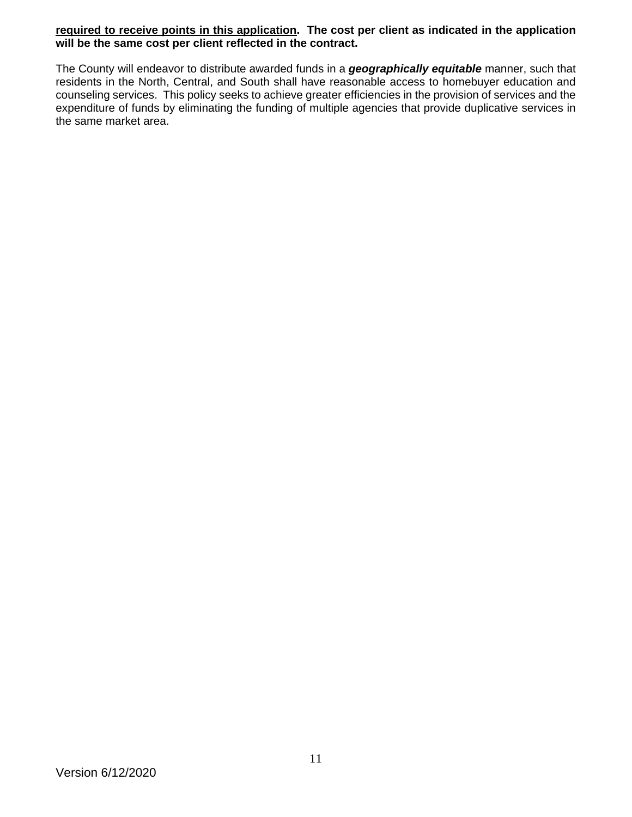#### **required to receive points in this application. The cost per client as indicated in the application will be the same cost per client reflected in the contract.**

The County will endeavor to distribute awarded funds in a *geographically equitable* manner, such that residents in the North, Central, and South shall have reasonable access to homebuyer education and counseling services. This policy seeks to achieve greater efficiencies in the provision of services and the expenditure of funds by eliminating the funding of multiple agencies that provide duplicative services in the same market area.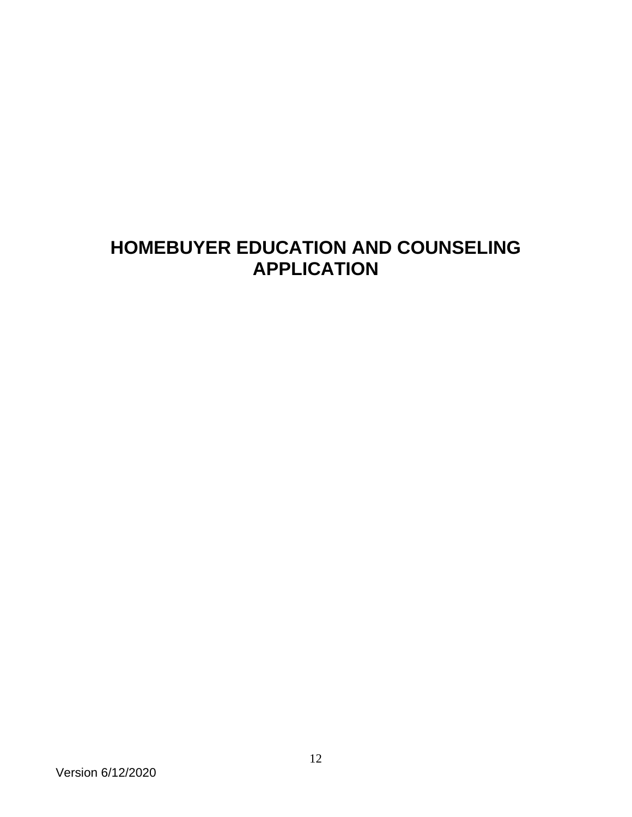# **HOMEBUYER EDUCATION AND COUNSELING APPLICATION**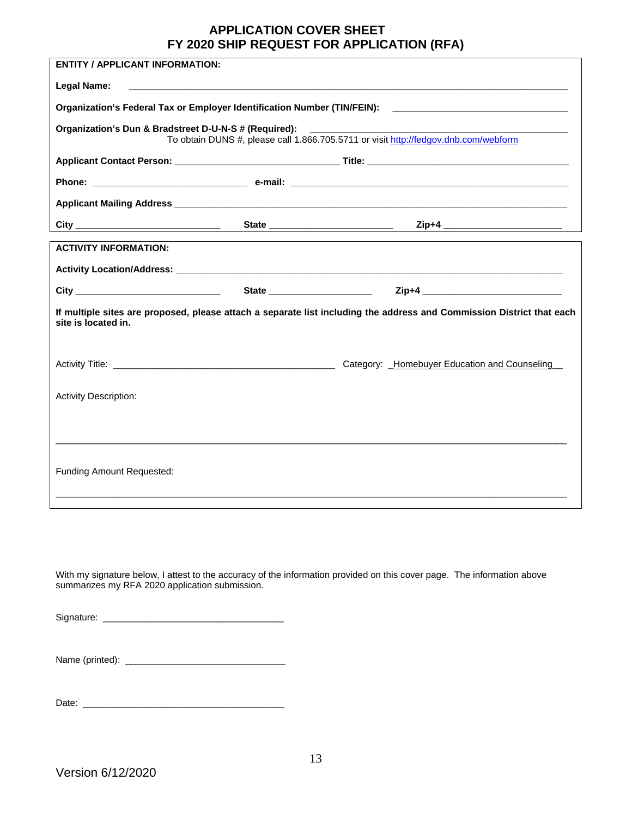### **APPLICATION COVER SHEET FY 2020 SHIP REQUEST FOR APPLICATION (RFA)**

| <b>ENTITY / APPLICANT INFORMATION:</b>                                                                                                       |                                                                                                                       |  |                                                                                                      |
|----------------------------------------------------------------------------------------------------------------------------------------------|-----------------------------------------------------------------------------------------------------------------------|--|------------------------------------------------------------------------------------------------------|
| Legal Name:                                                                                                                                  | <u> 1990 - Johann Barbara, martin amerikan basal dan berasal dalam basal dalam basal dalam basal dalam basal dala</u> |  |                                                                                                      |
|                                                                                                                                              |                                                                                                                       |  | Organization's Federal Tax or Employer Identification Number (TIN/FEIN): ___________________________ |
| Organization's Dun & Bradstreet D-U-N-S # (Required):                                                                                        |                                                                                                                       |  | To obtain DUNS #, please call 1.866.705.5711 or visit http://fedgov.dnb.com/webform                  |
|                                                                                                                                              |                                                                                                                       |  |                                                                                                      |
|                                                                                                                                              |                                                                                                                       |  |                                                                                                      |
|                                                                                                                                              |                                                                                                                       |  |                                                                                                      |
|                                                                                                                                              |                                                                                                                       |  | Zip+4 _________________________                                                                      |
| <b>ACTIVITY INFORMATION:</b>                                                                                                                 |                                                                                                                       |  |                                                                                                      |
|                                                                                                                                              |                                                                                                                       |  |                                                                                                      |
| <b>City City</b>                                                                                                                             |                                                                                                                       |  |                                                                                                      |
| If multiple sites are proposed, please attach a separate list including the address and Commission District that each<br>site is located in. |                                                                                                                       |  |                                                                                                      |
|                                                                                                                                              |                                                                                                                       |  | Category: _Homebuyer Education and Counseling_                                                       |
| <b>Activity Description:</b>                                                                                                                 |                                                                                                                       |  |                                                                                                      |
|                                                                                                                                              |                                                                                                                       |  |                                                                                                      |
| Funding Amount Requested:                                                                                                                    |                                                                                                                       |  |                                                                                                      |
|                                                                                                                                              |                                                                                                                       |  |                                                                                                      |

With my signature below, I attest to the accuracy of the information provided on this cover page. The information above summarizes my RFA 2020 application submission.

Signature: \_\_\_\_\_\_\_\_\_\_\_\_\_\_\_\_\_\_\_\_\_\_\_\_\_\_\_\_\_\_\_\_\_\_\_

| Name (printed): |  |
|-----------------|--|
|-----------------|--|

Date: \_\_\_\_\_\_\_\_\_\_\_\_\_\_\_\_\_\_\_\_\_\_\_\_\_\_\_\_\_\_\_\_\_\_\_\_\_\_\_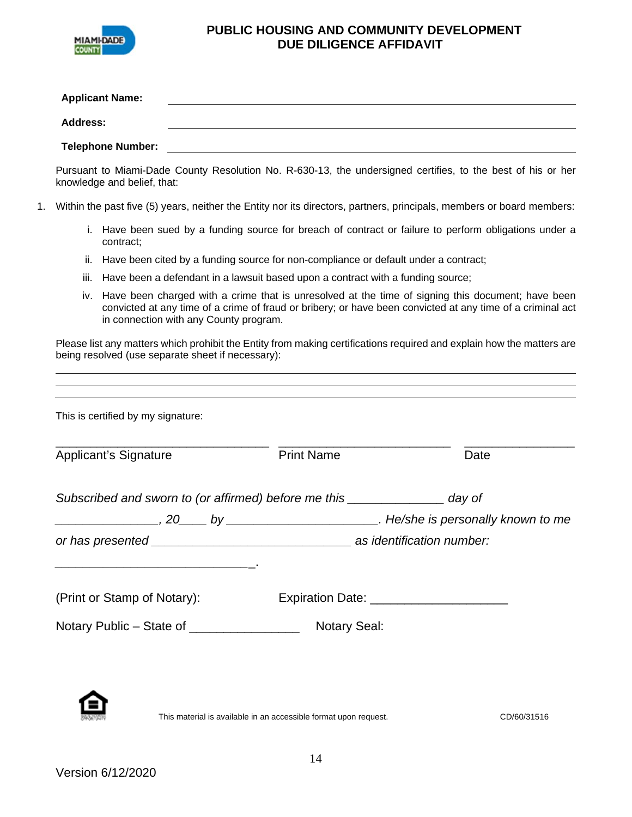

#### **PUBLIC HOUSING AND COMMUNITY DEVELOPMENT DUE DILIGENCE AFFIDAVIT**

| <b>Applicant Name:</b>   |  |
|--------------------------|--|
| <b>Address:</b>          |  |
| <b>Telephone Number:</b> |  |

Pursuant to Miami-Dade County Resolution No. R-630-13, the undersigned certifies, to the best of his or her knowledge and belief, that:

- 1. Within the past five (5) years, neither the Entity nor its directors, partners, principals, members or board members:
	- i. Have been sued by a funding source for breach of contract or failure to perform obligations under a contract;
	- ii. Have been cited by a funding source for non-compliance or default under a contract;
	- iii. Have been a defendant in a lawsuit based upon a contract with a funding source;
	- iv. Have been charged with a crime that is unresolved at the time of signing this document; have been convicted at any time of a crime of fraud or bribery; or have been convicted at any time of a criminal act in connection with any County program.

Please list any matters which prohibit the Entity from making certifications required and explain how the matters are being resolved (use separate sheet if necessary):

| <b>Applicant's Signature</b>                                                                                         | <b>Print Name</b>                          | Date |
|----------------------------------------------------------------------------------------------------------------------|--------------------------------------------|------|
| Subscribed and sworn to (or affirmed) before me this _________________ day of                                        |                                            |      |
|                                                                                                                      |                                            |      |
|                                                                                                                      |                                            |      |
| <u> 1999 - Jan James James Jan James James Jan James James Jan James James Jan James James Jan Jan James James J</u> |                                            |      |
| (Print or Stamp of Notary):                                                                                          | Expiration Date: _________________________ |      |
| Notary Public – State of __________________                                                                          | <b>Notary Seal:</b>                        |      |

This material is available in an accessible format upon request. CD/60/31516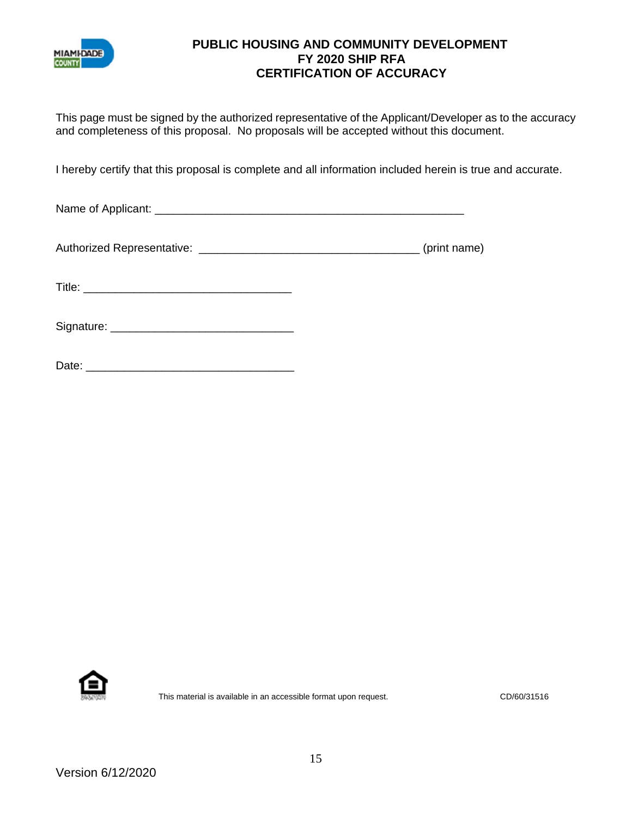

## **PUBLIC HOUSING AND COMMUNITY DEVELOPMENT FY 2020 SHIP RFA CERTIFICATION OF ACCURACY**

This page must be signed by the authorized representative of the Applicant/Developer as to the accuracy and completeness of this proposal. No proposals will be accepted without this document.

I hereby certify that this proposal is complete and all information included herein is true and accurate.

Name of Applicant: \_\_\_\_\_\_\_\_\_\_\_\_\_\_\_\_\_\_\_\_\_\_\_\_\_\_\_\_\_\_\_\_\_\_\_\_\_\_\_\_\_\_\_\_\_\_\_\_\_

Authorized Representative: \_\_\_\_\_\_\_\_\_\_\_\_\_\_\_\_\_\_\_\_\_\_\_\_\_\_\_\_\_\_\_\_\_\_\_ (print name)

Title: \_\_\_\_\_\_\_\_\_\_\_\_\_\_\_\_\_\_\_\_\_\_\_\_\_\_\_\_\_\_\_\_\_

Signature: \_\_\_\_\_\_\_\_\_\_\_\_\_\_\_\_\_\_\_\_\_\_\_\_\_\_\_\_\_

| ∩ate∙<br>υαισ. |  |
|----------------|--|
|                |  |



This material is available in an accessible format upon request. CD/60/31516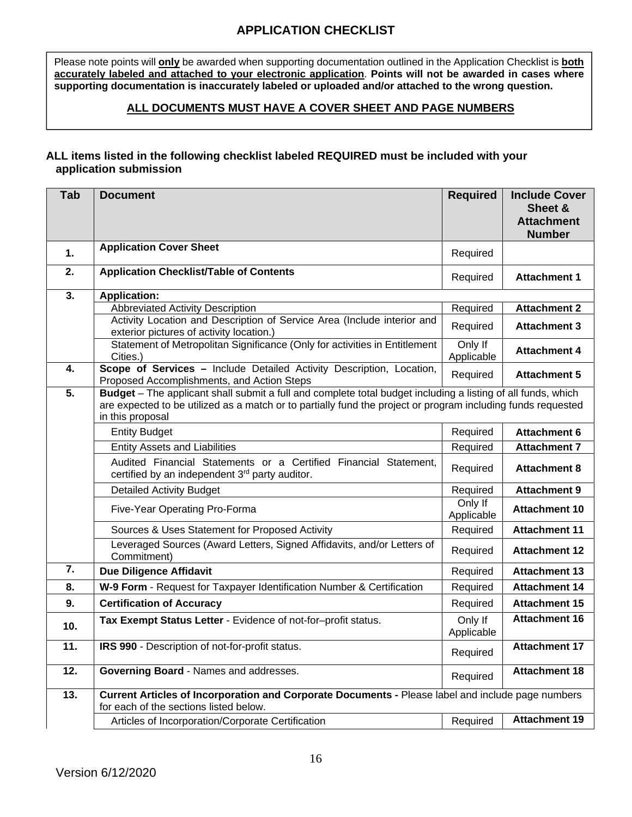# **APPLICATION CHECKLIST**

Please note points will **only** be awarded when supporting documentation outlined in the Application Checklist is **both accurately labeled and attached to your electronic application**. **Points will not be awarded in cases where supporting documentation is inaccurately labeled or uploaded and/or attached to the wrong question.** 

### **ALL DOCUMENTS MUST HAVE A COVER SHEET AND PAGE NUMBERS**

#### **ALL items listed in the following checklist labeled REQUIRED must be included with your application submission**

| Tab              | <b>Document</b>                                                                                                                                                                                                                                  | <b>Required</b>       | <b>Include Cover</b><br>Sheet &<br><b>Attachment</b><br><b>Number</b> |
|------------------|--------------------------------------------------------------------------------------------------------------------------------------------------------------------------------------------------------------------------------------------------|-----------------------|-----------------------------------------------------------------------|
| 1.               | <b>Application Cover Sheet</b>                                                                                                                                                                                                                   | Required              |                                                                       |
| 2.               | <b>Application Checklist/Table of Contents</b>                                                                                                                                                                                                   | Required              | <b>Attachment 1</b>                                                   |
| 3.               | <b>Application:</b>                                                                                                                                                                                                                              |                       |                                                                       |
|                  | <b>Abbreviated Activity Description</b>                                                                                                                                                                                                          | Required              | <b>Attachment 2</b>                                                   |
|                  | Activity Location and Description of Service Area (Include interior and<br>exterior pictures of activity location.)                                                                                                                              | Required              | <b>Attachment 3</b>                                                   |
|                  | Statement of Metropolitan Significance (Only for activities in Entitlement<br>Cities.)                                                                                                                                                           | Only If<br>Applicable | <b>Attachment 4</b>                                                   |
| 4.               | Scope of Services - Include Detailed Activity Description, Location,<br>Proposed Accomplishments, and Action Steps                                                                                                                               | Required              | <b>Attachment 5</b>                                                   |
| 5.               | Budget - The applicant shall submit a full and complete total budget including a listing of all funds, which<br>are expected to be utilized as a match or to partially fund the project or program including funds requested<br>in this proposal |                       |                                                                       |
|                  | <b>Entity Budget</b>                                                                                                                                                                                                                             | Required              | <b>Attachment 6</b>                                                   |
|                  | <b>Entity Assets and Liabilities</b>                                                                                                                                                                                                             | Required              | <b>Attachment 7</b>                                                   |
|                  | Audited Financial Statements or a Certified Financial Statement,<br>certified by an independent 3rd party auditor.                                                                                                                               | Required              | <b>Attachment 8</b>                                                   |
|                  | <b>Detailed Activity Budget</b>                                                                                                                                                                                                                  | Required              | <b>Attachment 9</b>                                                   |
|                  | Five-Year Operating Pro-Forma                                                                                                                                                                                                                    | Only If<br>Applicable | <b>Attachment 10</b>                                                  |
|                  | Sources & Uses Statement for Proposed Activity                                                                                                                                                                                                   | Required              | <b>Attachment 11</b>                                                  |
|                  | Leveraged Sources (Award Letters, Signed Affidavits, and/or Letters of<br>Commitment)                                                                                                                                                            | Required              | <b>Attachment 12</b>                                                  |
| $\overline{7}$ . | <b>Due Diligence Affidavit</b>                                                                                                                                                                                                                   | Required              | <b>Attachment 13</b>                                                  |
| 8.               | W-9 Form - Request for Taxpayer Identification Number & Certification                                                                                                                                                                            | Required              | <b>Attachment 14</b>                                                  |
| 9.               | <b>Certification of Accuracy</b>                                                                                                                                                                                                                 | Required              | <b>Attachment 15</b>                                                  |
| 10.              | Tax Exempt Status Letter - Evidence of not-for-profit status.                                                                                                                                                                                    | Only If<br>Applicable | <b>Attachment 16</b>                                                  |
| 11.              | IRS 990 - Description of not-for-profit status.                                                                                                                                                                                                  | Required              | <b>Attachment 17</b>                                                  |
| 12.              | Governing Board - Names and addresses.                                                                                                                                                                                                           | Required              | <b>Attachment 18</b>                                                  |
| 13.              | Current Articles of Incorporation and Corporate Documents - Please label and include page numbers<br>for each of the sections listed below.                                                                                                      |                       |                                                                       |
|                  | Articles of Incorporation/Corporate Certification                                                                                                                                                                                                | Required              | <b>Attachment 19</b>                                                  |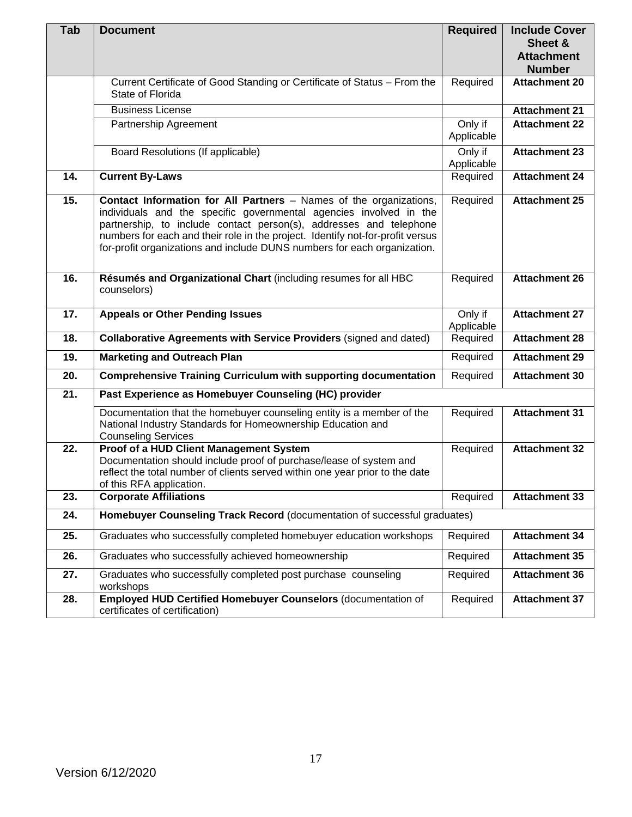| Tab | <b>Document</b>                                                                                                                                                                                                                                                                                                                                                              | <b>Required</b>       | <b>Include Cover</b><br>Sheet &    |
|-----|------------------------------------------------------------------------------------------------------------------------------------------------------------------------------------------------------------------------------------------------------------------------------------------------------------------------------------------------------------------------------|-----------------------|------------------------------------|
|     |                                                                                                                                                                                                                                                                                                                                                                              |                       | <b>Attachment</b><br><b>Number</b> |
|     | Current Certificate of Good Standing or Certificate of Status - From the<br>State of Florida                                                                                                                                                                                                                                                                                 | Required              | <b>Attachment 20</b>               |
|     | <b>Business License</b>                                                                                                                                                                                                                                                                                                                                                      |                       | <b>Attachment 21</b>               |
|     | Partnership Agreement                                                                                                                                                                                                                                                                                                                                                        | Only if               | <b>Attachment 22</b>               |
|     |                                                                                                                                                                                                                                                                                                                                                                              | Applicable            |                                    |
|     | Board Resolutions (If applicable)                                                                                                                                                                                                                                                                                                                                            | Only if<br>Applicable | <b>Attachment 23</b>               |
| 14. | <b>Current By-Laws</b>                                                                                                                                                                                                                                                                                                                                                       | Required              | <b>Attachment 24</b>               |
| 15. | Contact Information for All Partners - Names of the organizations,<br>individuals and the specific governmental agencies involved in the<br>partnership, to include contact person(s), addresses and telephone<br>numbers for each and their role in the project. Identify not-for-profit versus<br>for-profit organizations and include DUNS numbers for each organization. | Required              | <b>Attachment 25</b>               |
| 16. | Résumés and Organizational Chart (including resumes for all HBC<br>counselors)                                                                                                                                                                                                                                                                                               | Required              | <b>Attachment 26</b>               |
| 17. | <b>Appeals or Other Pending Issues</b>                                                                                                                                                                                                                                                                                                                                       | Only if<br>Applicable | <b>Attachment 27</b>               |
| 18. | Collaborative Agreements with Service Providers (signed and dated)                                                                                                                                                                                                                                                                                                           | Required              | <b>Attachment 28</b>               |
| 19. | <b>Marketing and Outreach Plan</b>                                                                                                                                                                                                                                                                                                                                           | Required              | <b>Attachment 29</b>               |
| 20. | <b>Comprehensive Training Curriculum with supporting documentation</b>                                                                                                                                                                                                                                                                                                       | Required              | <b>Attachment 30</b>               |
| 21. | Past Experience as Homebuyer Counseling (HC) provider                                                                                                                                                                                                                                                                                                                        |                       |                                    |
|     | Documentation that the homebuyer counseling entity is a member of the<br>National Industry Standards for Homeownership Education and<br><b>Counseling Services</b>                                                                                                                                                                                                           | Required              | <b>Attachment 31</b>               |
| 22. | Proof of a HUD Client Management System<br>Documentation should include proof of purchase/lease of system and<br>reflect the total number of clients served within one year prior to the date<br>of this RFA application.                                                                                                                                                    | Required              | <b>Attachment 32</b>               |
| 23. | <b>Corporate Affiliations</b>                                                                                                                                                                                                                                                                                                                                                | Required              | Attachment 33                      |
| 24. | Homebuyer Counseling Track Record (documentation of successful graduates)                                                                                                                                                                                                                                                                                                    |                       |                                    |
| 25. | Graduates who successfully completed homebuyer education workshops                                                                                                                                                                                                                                                                                                           | Required              | <b>Attachment 34</b>               |
| 26. | Graduates who successfully achieved homeownership                                                                                                                                                                                                                                                                                                                            | Required              | <b>Attachment 35</b>               |
| 27. | Graduates who successfully completed post purchase counseling<br>workshops                                                                                                                                                                                                                                                                                                   | Required              | <b>Attachment 36</b>               |
| 28. | Employed HUD Certified Homebuyer Counselors (documentation of<br>certificates of certification)                                                                                                                                                                                                                                                                              | Required              | <b>Attachment 37</b>               |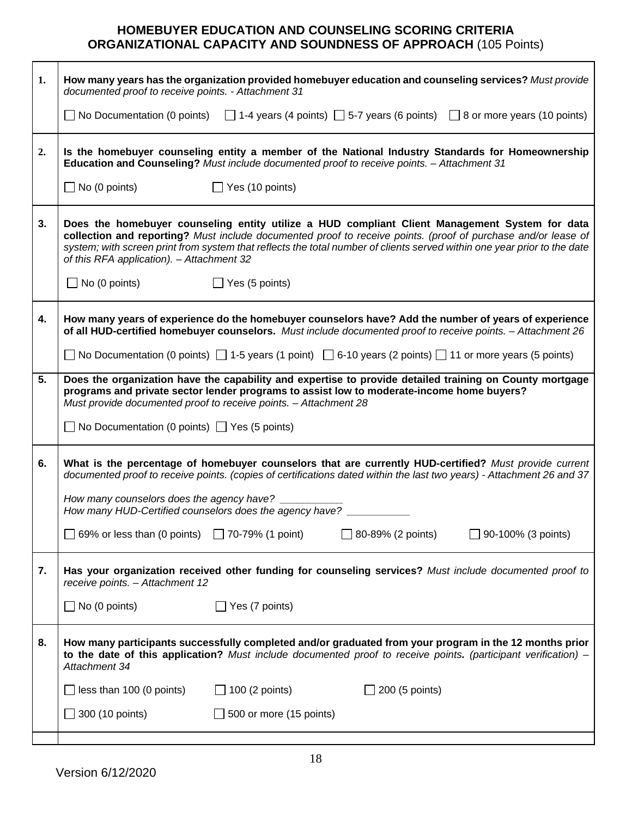# **HOMEBUYER EDUCATION AND COUNSELING SCORING CRITERIA ORGANIZATIONAL CAPACITY AND SOUNDNESS OF APPROACH** (105 Points)

| 1. | How many years has the organization provided homebuyer education and counseling services? Must provide<br>documented proof to receive points. - Attachment 31                                                                                                                                                                                                                            |
|----|------------------------------------------------------------------------------------------------------------------------------------------------------------------------------------------------------------------------------------------------------------------------------------------------------------------------------------------------------------------------------------------|
|    | No Documentation (0 points) $\Box$ 1-4 years (4 points) $\Box$ 5-7 years (6 points) $\Box$ 8 or more years (10 points)                                                                                                                                                                                                                                                                   |
| 2. | Is the homebuyer counseling entity a member of the National Industry Standards for Homeownership<br>Education and Counseling? Must include documented proof to receive points. - Attachment 31                                                                                                                                                                                           |
|    | $\Box$ No (0 points)<br>$\Box$ Yes (10 points)                                                                                                                                                                                                                                                                                                                                           |
| 3. | Does the homebuyer counseling entity utilize a HUD compliant Client Management System for data<br>collection and reporting? Must include documented proof to receive points. (proof of purchase and/or lease of<br>system; with screen print from system that reflects the total number of clients served within one year prior to the date<br>of this RFA application). - Attachment 32 |
|    | $\Box$ No (0 points)<br>$\Box$ Yes (5 points)                                                                                                                                                                                                                                                                                                                                            |
| 4. | How many years of experience do the homebuyer counselors have? Add the number of years of experience<br>of all HUD-certified homebuyer counselors. Must include documented proof to receive points. - Attachment 26                                                                                                                                                                      |
|    | No Documentation (0 points) $\Box$ 1-5 years (1 point) $\Box$ 6-10 years (2 points) $\Box$ 11 or more years (5 points)                                                                                                                                                                                                                                                                   |
| 5. | Does the organization have the capability and expertise to provide detailed training on County mortgage<br>programs and private sector lender programs to assist low to moderate-income home buyers?<br>Must provide documented proof to receive points. - Attachment 28<br>$\Box$ No Documentation (0 points) $\Box$ Yes (5 points)                                                     |
|    |                                                                                                                                                                                                                                                                                                                                                                                          |
| 6. | What is the percentage of homebuyer counselors that are currently HUD-certified? Must provide current<br>documented proof to receive points. (copies of certifications dated within the last two years) - Attachment 26 and 37                                                                                                                                                           |
|    | How many counselors does the agency have? ____<br>How many HUD-Certified counselors does the agency have?                                                                                                                                                                                                                                                                                |
|    | 69% or less than (0 points) $\Box$ 70-79% (1 point)<br>$\Box$ 80-89% (2 points)<br>$\Box$ 90-100% (3 points)                                                                                                                                                                                                                                                                             |
| 7. | Has your organization received other funding for counseling services? Must include documented proof to<br>receive points. - Attachment 12                                                                                                                                                                                                                                                |
|    | No (0 points)<br>$\Box$ Yes (7 points)                                                                                                                                                                                                                                                                                                                                                   |
| 8. | How many participants successfully completed and/or graduated from your program in the 12 months prior<br>to the date of this application? Must include documented proof to receive points. (participant verification) $-$<br>Attachment 34                                                                                                                                              |
|    | less than 100 (0 points)<br>$\Box$ 100 (2 points)<br>200 (5 points)                                                                                                                                                                                                                                                                                                                      |
|    | 300 (10 points)<br>$\Box$ 500 or more (15 points)                                                                                                                                                                                                                                                                                                                                        |
|    |                                                                                                                                                                                                                                                                                                                                                                                          |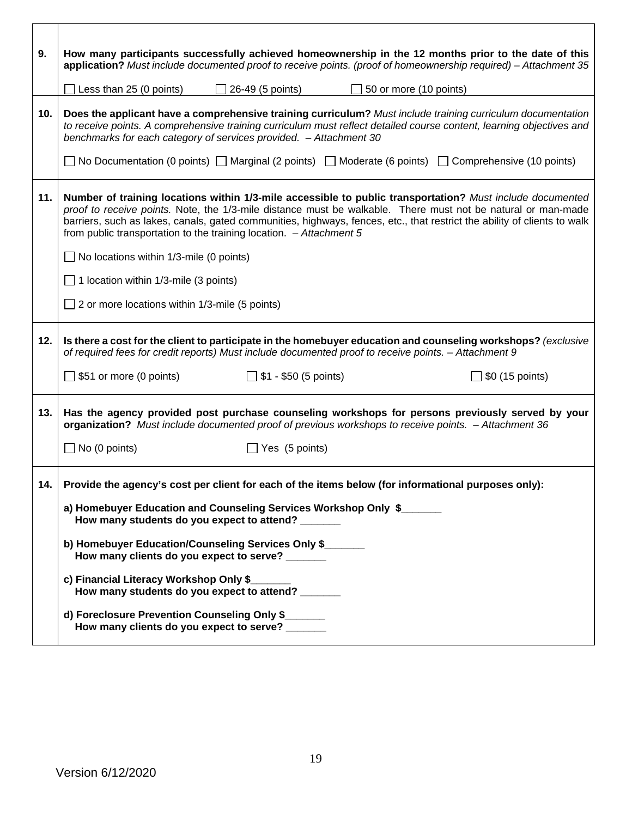| 9.  | How many participants successfully achieved homeownership in the 12 months prior to the date of this<br>application? Must include documented proof to receive points. (proof of homeownership required) – Attachment 35                                                                                                                                                                                                        |  |  |
|-----|--------------------------------------------------------------------------------------------------------------------------------------------------------------------------------------------------------------------------------------------------------------------------------------------------------------------------------------------------------------------------------------------------------------------------------|--|--|
|     | $\Box$ Less than 25 (0 points)<br>$\Box$ 26-49 (5 points)<br>$\Box$ 50 or more (10 points)                                                                                                                                                                                                                                                                                                                                     |  |  |
| 10. | Does the applicant have a comprehensive training curriculum? Must include training curriculum documentation<br>to receive points. A comprehensive training curriculum must reflect detailed course content, learning objectives and<br>benchmarks for each category of services provided. - Attachment 30                                                                                                                      |  |  |
|     | ■ No Documentation (0 points) ■ Marginal (2 points) ■ Moderate (6 points) ■ Comprehensive (10 points)                                                                                                                                                                                                                                                                                                                          |  |  |
| 11. | Number of training locations within 1/3-mile accessible to public transportation? Must include documented<br>proof to receive points. Note, the 1/3-mile distance must be walkable. There must not be natural or man-made<br>barriers, such as lakes, canals, gated communities, highways, fences, etc., that restrict the ability of clients to walk<br>from public transportation to the training location. $-A$ ttachment 5 |  |  |
|     | $\Box$ No locations within 1/3-mile (0 points)                                                                                                                                                                                                                                                                                                                                                                                 |  |  |
|     | $\Box$ 1 location within 1/3-mile (3 points)                                                                                                                                                                                                                                                                                                                                                                                   |  |  |
|     | $\Box$ 2 or more locations within 1/3-mile (5 points)                                                                                                                                                                                                                                                                                                                                                                          |  |  |
| 12. | Is there a cost for the client to participate in the homebuyer education and counseling workshops? (exclusive<br>of required fees for credit reports) Must include documented proof to receive points. - Attachment 9                                                                                                                                                                                                          |  |  |
|     | $\Box$ \$51 or more (0 points)<br>$\Box$ \$1 - \$50 (5 points)<br>$\Box$ \$0 (15 points)                                                                                                                                                                                                                                                                                                                                       |  |  |
| 13. | Has the agency provided post purchase counseling workshops for persons previously served by your<br>organization? Must include documented proof of previous workshops to receive points. - Attachment 36                                                                                                                                                                                                                       |  |  |
|     | $\Box$ No (0 points)<br>$\Box$ Yes (5 points)                                                                                                                                                                                                                                                                                                                                                                                  |  |  |
| 14. | Provide the agency's cost per client for each of the items below (for informational purposes only):                                                                                                                                                                                                                                                                                                                            |  |  |
|     | a) Homebuyer Education and Counseling Services Workshop Only \$<br>How many students do you expect to attend?                                                                                                                                                                                                                                                                                                                  |  |  |
|     | b) Homebuyer Education/Counseling Services Only \$<br>How many clients do you expect to serve? ______                                                                                                                                                                                                                                                                                                                          |  |  |
|     | c) Financial Literacy Workshop Only \$<br>How many students do you expect to attend?                                                                                                                                                                                                                                                                                                                                           |  |  |
|     | d) Foreclosure Prevention Counseling Only \$<br>How many clients do you expect to serve? ______                                                                                                                                                                                                                                                                                                                                |  |  |

 $\mathbf{r}$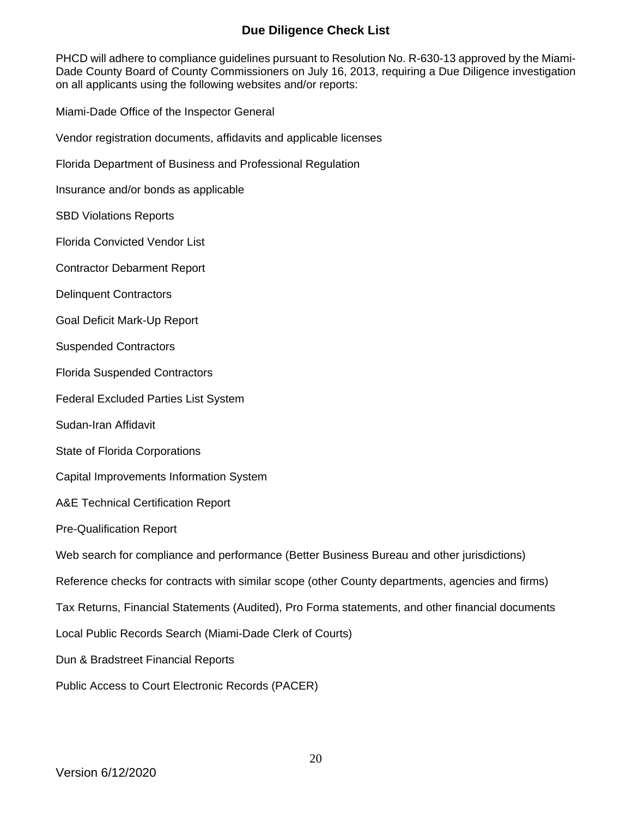# **Due Diligence Check List**

PHCD will adhere to compliance guidelines pursuant to Resolution No. R-630-13 approved by the Miami-Dade County Board of County Commissioners on July 16, 2013, requiring a Due Diligence investigation on all applicants using the following websites and/or reports:

Miami-Dade Office of the Inspector General

Vendor registration documents, affidavits and applicable licenses

Florida Department of Business and Professional Regulation

Insurance and/or bonds as applicable

SBD Violations Reports

Florida Convicted Vendor List

Contractor Debarment Report

Delinquent Contractors

Goal Deficit Mark-Up Report

Suspended Contractors

Florida Suspended Contractors

Federal Excluded Parties List System

Sudan-Iran Affidavit

State of Florida Corporations

Capital Improvements Information System

A&E Technical Certification Report

Pre-Qualification Report

Web search for compliance and performance (Better Business Bureau and other jurisdictions)

Reference checks for contracts with similar scope (other County departments, agencies and firms)

Tax Returns, Financial Statements (Audited), Pro Forma statements, and other financial documents

Local Public Records Search (Miami-Dade Clerk of Courts)

Dun & Bradstreet Financial Reports

Public Access to Court Electronic Records (PACER)